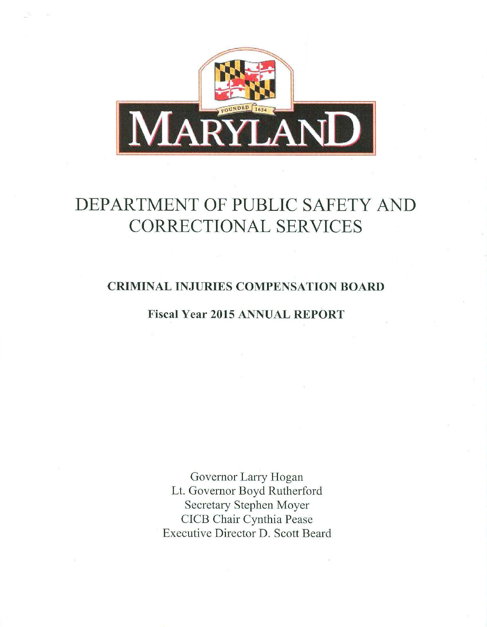

# DEPARTMENT OF PUBLIC SAFETY AND CORRECTIONAL SERVICES

### CRIMINAL INJURIES COMPENSATION BOARD

## Fiscal Year 2015 ANNUAL REPORT

Governor Larry Hogan Lt. Governor Boyd Rutherford Secretary Stephen Moyer CICB Chair Cynthia Pease Executive Director D. Scott Beard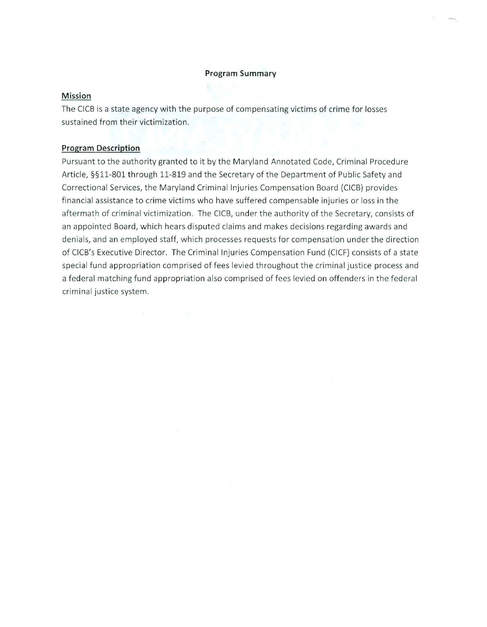#### **Program Summary**

#### **Mission**

The CICB is a state agency with the purpose of compensating victims of crime for losses sustained from their victimization.

#### **Program Description**

Pursuant to the authority granted to it by the Maryland Annotated Code, Criminal Procedure Article, §§11-801 through 11-819 and the Secretary of the Department of Public Safety and Correctional Services, the Maryland Criminal Injuries Compensation Board (CICB) provides financial assistance to crime victims who have suffered compensable injuries or loss in the aftermath of criminal victimization. The CICB, under the authority of the Secretary, consists of an appointed Board, which hears disputed claims and makes decisions regarding awards and denials, and an employed staff, which processes requests for compensation under the direction of CICB's Executive Director. The Crim inal Injuries Compensation Fund (CICF) consists of a state special fund appropriation comprised of fees levied throughout the criminal justice process and a federal matching fund appropriation also comprised of fees levied on offenders in the federal criminal justice system.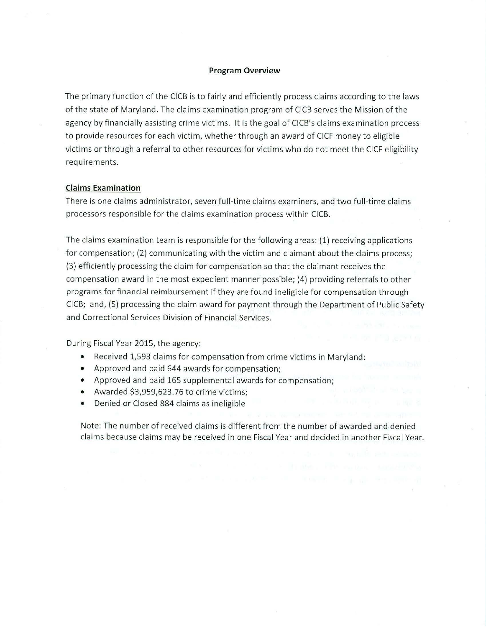#### **Program Overview**

The primary function of the CICB is to fairly and efficiently process claims according to the laws of the state of Maryland. The claims examination program of CICB serves the Mission of the agency by financially assisting crime victims. It is the goal of CICB's claims examination process to provide resources for each victim, whether through an award of CICF money to eligible victims or through a referral to other resources for victims who do not meet the CICF eligibility requirements.

#### **Claims Examination**

There is one claims administrator, seven full-time claims examiners, and two full-time claims processors responsible for the claims examination process within CICB.

The claims examination team is responsible for the following areas: (1) receiving applications for compensation; (2) communicating with the victim and claimant about the claims process; (3) efficiently processing the claim for compensation so that the claimant receives the compensation award in the most expedient manner possible; (4) providing referrals to other programs for financial reimbursement if they are found ineligible for compensation through CICB; and, (5) processing the claim award for payment through the Department of Public Safety and Correctional Services Division of Financial Services.

During Fiscal Year 2015, the agency:

- Received 1,593 claims for compensation from crime victims in Maryland;
- Approved and paid 644 awards for compensation;
- Approved and paid 165 supplemental awards for compensation;
- Awarded \$3,959,623.76 to crime victims;
- Denied or Closed 884 claims as ineligible

Note: The number of received claims is different from the number of awarded and denied claims because claims may be received in one Fiscal Year and decided in another Fiscal Year.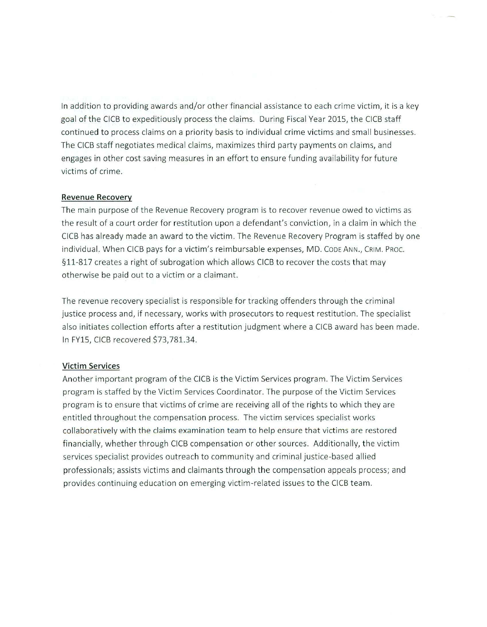In addition to providing awards and/or other financial assistance to each crime victim, it is a key goal of the CICB to expeditiously process the claims. During Fiscal Year 2015, the CICB staff continued to process claims on a priority basis to individual crime victims and small businesses. The CICB staff negotiates medical claims, maximizes third party payments on claims, and engages in other cost saving measures in an effort to ensure funding avai lability for future victims of crime.

#### **Revenue Recovery**

The main purpose of the Revenue Recovery program is to recover revenue owed to victims as the result of a court order for restitution upon a defendant's conviction, in a claim in which the CICB has already made an award to the victim. The Revenue Recovery Program is staffed by one individual. When CICB pays for a victim's reimbursable expenses, MD. CODE ANN., CRIM. PROC. §11-817 creates a right of subrogation which allows CICB to recover the costs that may otherwise be paid out to a victim or a claimant.

The revenue recovery specialist is responsible for tracking offenders through the criminal justice process and, if necessary, works with prosecutors to request restitution. The specialist also initiates collection efforts after a restitution judgment where a CICB award has been made. In FY15, CICB recovered \$73,781.34.

#### **Victim Services**

Another important program of the CICB is the Victim Services program. The Victim Services program is staffed by the Victim Services Coordinator. The purpose of the Victim Services program is to ensure that victims of crime are receiving all of the rights to which they are entitled throughout the compensation process. The victim services specialist works collaboratively with the claims examination team to help ensure that victims are restored financially, whether through CICB compensation or other sources. Additionally, the victim services specialist provides outreach to community and criminal justice -based allied professionals; assists victims and claimants through the compensation appeals process; and provides continuing education on emerging victim-related issues to the CICB team.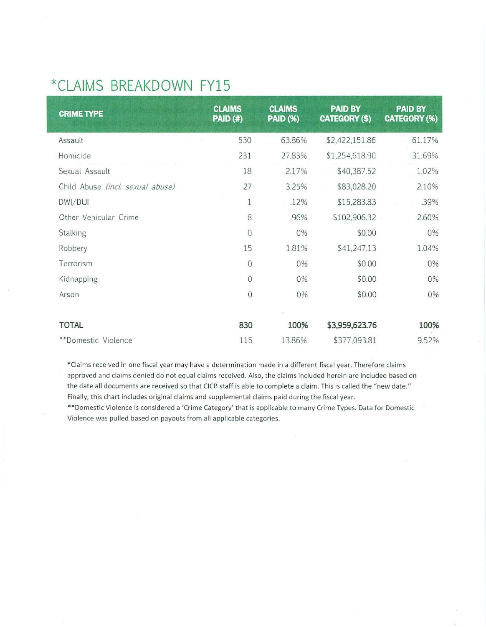## **\*CLAIMS BREAKDOWN FY15**

| <b>CRIME TYPE</b>                | <b>CLAIMS</b><br><b>PAID (#)</b> | <b>CLAIMS</b><br><b>PAID (%)</b> | <b>PAID BY</b><br><b>CATEGORY (\$)</b> | <b>PAID BY</b><br><b>CATEGORY (%)</b> |
|----------------------------------|----------------------------------|----------------------------------|----------------------------------------|---------------------------------------|
| Assault                          | 530                              | 63.86%                           | \$2,422,151.86                         | 61.17%                                |
| Homicide                         | 231                              | 27.83%                           | \$1,254,618.90                         | 31.69%                                |
| Sexual Assault                   | 18                               | 2.17%                            | \$40,387.52                            | 1.02%                                 |
| Child Abuse (incl. sexual abuse) | 27                               | 3.25%                            | \$83,028.20                            | 2.10%                                 |
| DWI/DUI                          | 1                                | .12%                             | \$15,283.83                            | .39%                                  |
| Other Vehicular Crime            | 8                                | .96%                             | \$102,906.32                           | 2.60%                                 |
| Stalking                         | $\mathbf 0$                      | 0%                               | \$0.00                                 | 0%                                    |
| Robbery                          | 15                               | 1.81%                            | \$41,247.13                            | 1.04%                                 |
| Terrorism                        | $\mathbf{0}$                     | 0%                               | \$0.00                                 | 0%                                    |
| Kidnapping                       | $\overline{0}$                   | 0%                               | \$0.00                                 | 0%                                    |
| Arson                            | $\overline{0}$                   | $0\%$                            | \$0.00                                 | 0%                                    |
|                                  |                                  |                                  |                                        |                                       |
| <b>TOTAL</b>                     | 830                              | 100%                             | \$3,959,623.76                         | 100%                                  |
| **Domestic Violence              | 115                              | 13.86%                           | \$377,093.81                           | 9.52%                                 |

\*Claims received in one fisca l year may have a determination made in a different fiscal year. Therefore claims approved and claims denied do not equal claims received. Also, the claims included herein are included based on the date all documents are received so that CICB staff is able to complete a claim. This is called the "new date." Finally, this chart includes original claims and supplemental claims paid during the fiscal year.

\*\*Domestic Violence is considered a 'Crime Category' that is applicable to many Crime Types. Data for Domestic Violence was pulled based on payouts from all applicable categories.